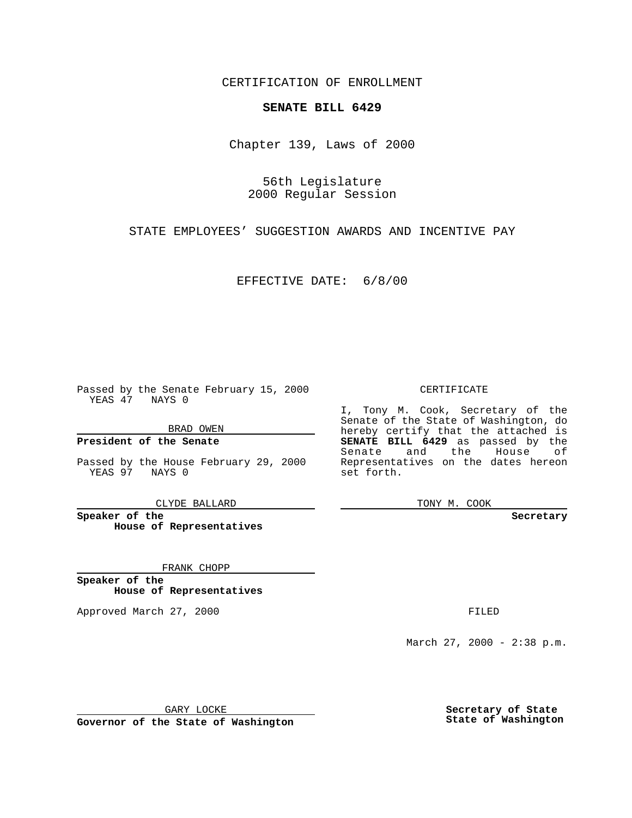CERTIFICATION OF ENROLLMENT

## **SENATE BILL 6429**

Chapter 139, Laws of 2000

56th Legislature 2000 Regular Session

STATE EMPLOYEES' SUGGESTION AWARDS AND INCENTIVE PAY

EFFECTIVE DATE: 6/8/00

Passed by the Senate February 15, 2000 YEAS 47 NAYS 0

BRAD OWEN

**President of the Senate**

Passed by the House February 29, 2000 YEAS 97 NAYS 0

CLYDE BALLARD

**Speaker of the House of Representatives**

FRANK CHOPP

**Speaker of the House of Representatives**

Approved March 27, 2000 FILED

## CERTIFICATE

I, Tony M. Cook, Secretary of the Senate of the State of Washington, do hereby certify that the attached is **SENATE BILL 6429** as passed by the Senate and the House of Representatives on the dates hereon set forth.

TONY M. COOK

**Secretary**

March 27, 2000 - 2:38 p.m.

GARY LOCKE

**Governor of the State of Washington**

**Secretary of State State of Washington**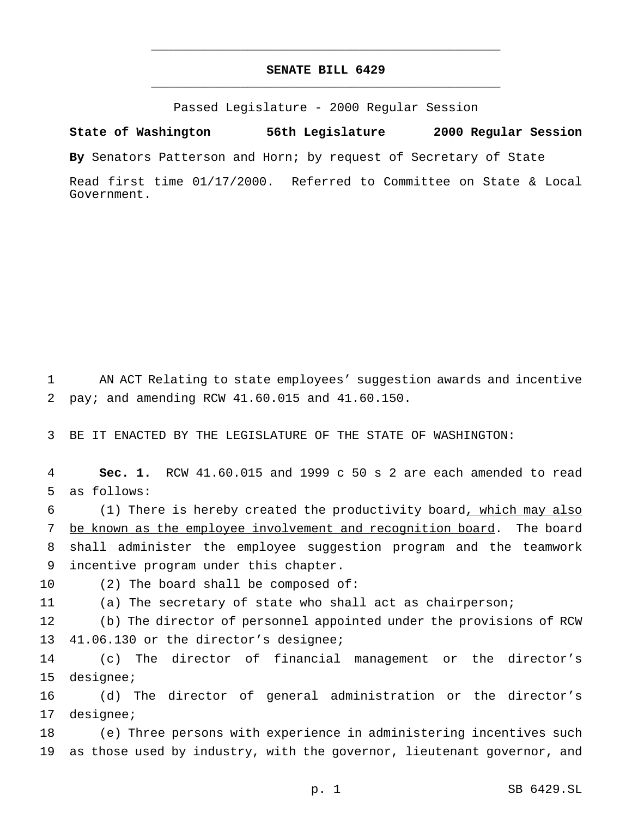## **SENATE BILL 6429** \_\_\_\_\_\_\_\_\_\_\_\_\_\_\_\_\_\_\_\_\_\_\_\_\_\_\_\_\_\_\_\_\_\_\_\_\_\_\_\_\_\_\_\_\_\_\_

\_\_\_\_\_\_\_\_\_\_\_\_\_\_\_\_\_\_\_\_\_\_\_\_\_\_\_\_\_\_\_\_\_\_\_\_\_\_\_\_\_\_\_\_\_\_\_

Passed Legislature - 2000 Regular Session

**State of Washington 56th Legislature 2000 Regular Session**

**By** Senators Patterson and Horn; by request of Secretary of State

Read first time 01/17/2000. Referred to Committee on State & Local Government.

 AN ACT Relating to state employees' suggestion awards and incentive pay; and amending RCW 41.60.015 and 41.60.150.

BE IT ENACTED BY THE LEGISLATURE OF THE STATE OF WASHINGTON:

 **Sec. 1.** RCW 41.60.015 and 1999 c 50 s 2 are each amended to read as follows:

 (1) There is hereby created the productivity board, which may also 7 be known as the employee involvement and recognition board. The board shall administer the employee suggestion program and the teamwork incentive program under this chapter.

(2) The board shall be composed of:

(a) The secretary of state who shall act as chairperson;

 (b) The director of personnel appointed under the provisions of RCW 41.06.130 or the director's designee;

 (c) The director of financial management or the director's designee;

 (d) The director of general administration or the director's designee;

 (e) Three persons with experience in administering incentives such as those used by industry, with the governor, lieutenant governor, and